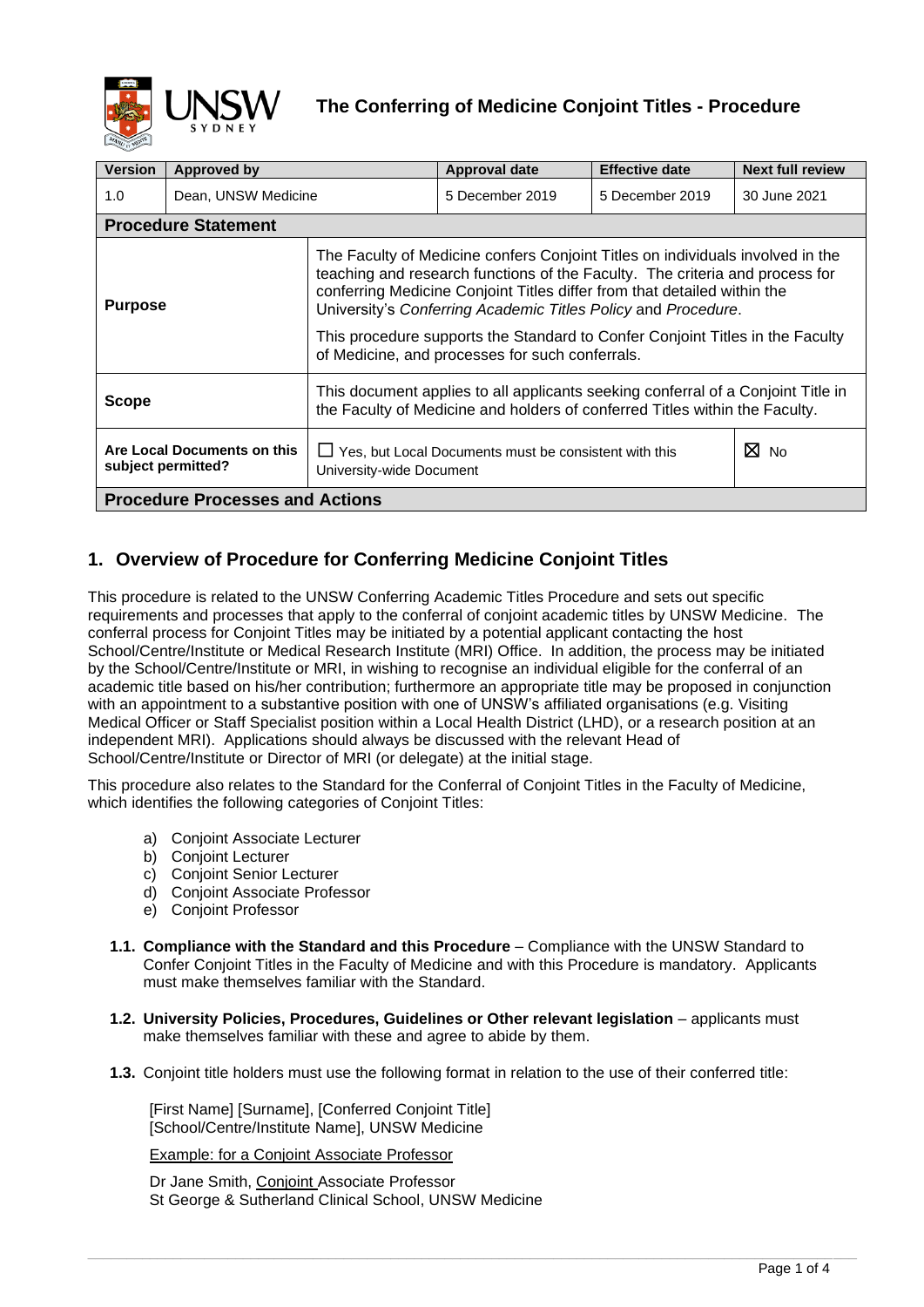

| <b>Version</b>                                    | Approved by                |                                                                                                                                                                                                                                                                                                                                                                                                                                                 | <b>Approval date</b>                                  | <b>Effective date</b> | <b>Next full review</b> |  |  |  |
|---------------------------------------------------|----------------------------|-------------------------------------------------------------------------------------------------------------------------------------------------------------------------------------------------------------------------------------------------------------------------------------------------------------------------------------------------------------------------------------------------------------------------------------------------|-------------------------------------------------------|-----------------------|-------------------------|--|--|--|
| 1.0<br>Dean, UNSW Medicine                        |                            |                                                                                                                                                                                                                                                                                                                                                                                                                                                 | 5 December 2019                                       | 5 December 2019       | 30 June 2021            |  |  |  |
|                                                   | <b>Procedure Statement</b> |                                                                                                                                                                                                                                                                                                                                                                                                                                                 |                                                       |                       |                         |  |  |  |
| <b>Purpose</b>                                    |                            | The Faculty of Medicine confers Conjoint Titles on individuals involved in the<br>teaching and research functions of the Faculty. The criteria and process for<br>conferring Medicine Conjoint Titles differ from that detailed within the<br>University's Conferring Academic Titles Policy and Procedure.<br>This procedure supports the Standard to Confer Conjoint Titles in the Faculty<br>of Medicine, and processes for such conferrals. |                                                       |                       |                         |  |  |  |
| Scope                                             |                            | This document applies to all applicants seeking conferral of a Conjoint Title in<br>the Faculty of Medicine and holders of conferred Titles within the Faculty.                                                                                                                                                                                                                                                                                 |                                                       |                       |                         |  |  |  |
| Are Local Documents on this<br>subject permitted? |                            | University-wide Document                                                                                                                                                                                                                                                                                                                                                                                                                        | Yes, but Local Documents must be consistent with this | $\boxtimes$ No        |                         |  |  |  |
| <b>Procedure Processes and Actions</b>            |                            |                                                                                                                                                                                                                                                                                                                                                                                                                                                 |                                                       |                       |                         |  |  |  |

# **1. Overview of Procedure for Conferring Medicine Conjoint Titles**

This procedure is related to the UNSW Conferring Academic Titles Procedure and sets out specific requirements and processes that apply to the conferral of conjoint academic titles by UNSW Medicine. The conferral process for Conjoint Titles may be initiated by a potential applicant contacting the host School/Centre/Institute or Medical Research Institute (MRI) Office. In addition, the process may be initiated by the School/Centre/Institute or MRI, in wishing to recognise an individual eligible for the conferral of an academic title based on his/her contribution; furthermore an appropriate title may be proposed in conjunction with an appointment to a substantive position with one of UNSW's affiliated organisations (e.g. Visiting Medical Officer or Staff Specialist position within a Local Health District (LHD), or a research position at an independent MRI). Applications should always be discussed with the relevant Head of School/Centre/Institute or Director of MRI (or delegate) at the initial stage.

This procedure also relates to the Standard for the Conferral of Conjoint Titles in the Faculty of Medicine, which identifies the following categories of Conjoint Titles:

- a) Conjoint Associate Lecturer
- b) Conjoint Lecturer
- c) Conjoint Senior Lecturer
- d) Conjoint Associate Professor
- e) Conjoint Professor
- **1.1. Compliance with the Standard and this Procedure**  Compliance with the UNSW Standard to Confer Conjoint Titles in the Faculty of Medicine and with this Procedure is mandatory. Applicants must make themselves familiar with the Standard.
- **1.2. University Policies, Procedures, Guidelines or Other relevant legislation** applicants must make themselves familiar with these and agree to abide by them.
- **1.3.** Conjoint title holders must use the following format in relation to the use of their conferred title:

 $\_$  , and the set of the set of the set of the set of the set of the set of the set of the set of the set of the set of the set of the set of the set of the set of the set of the set of the set of the set of the set of th

[First Name] [Surname], [Conferred Conjoint Title] [School/Centre/Institute Name], UNSW Medicine

Example: for a Conjoint Associate Professor

Dr Jane Smith, Conjoint Associate Professor St George & Sutherland Clinical School, UNSW Medicine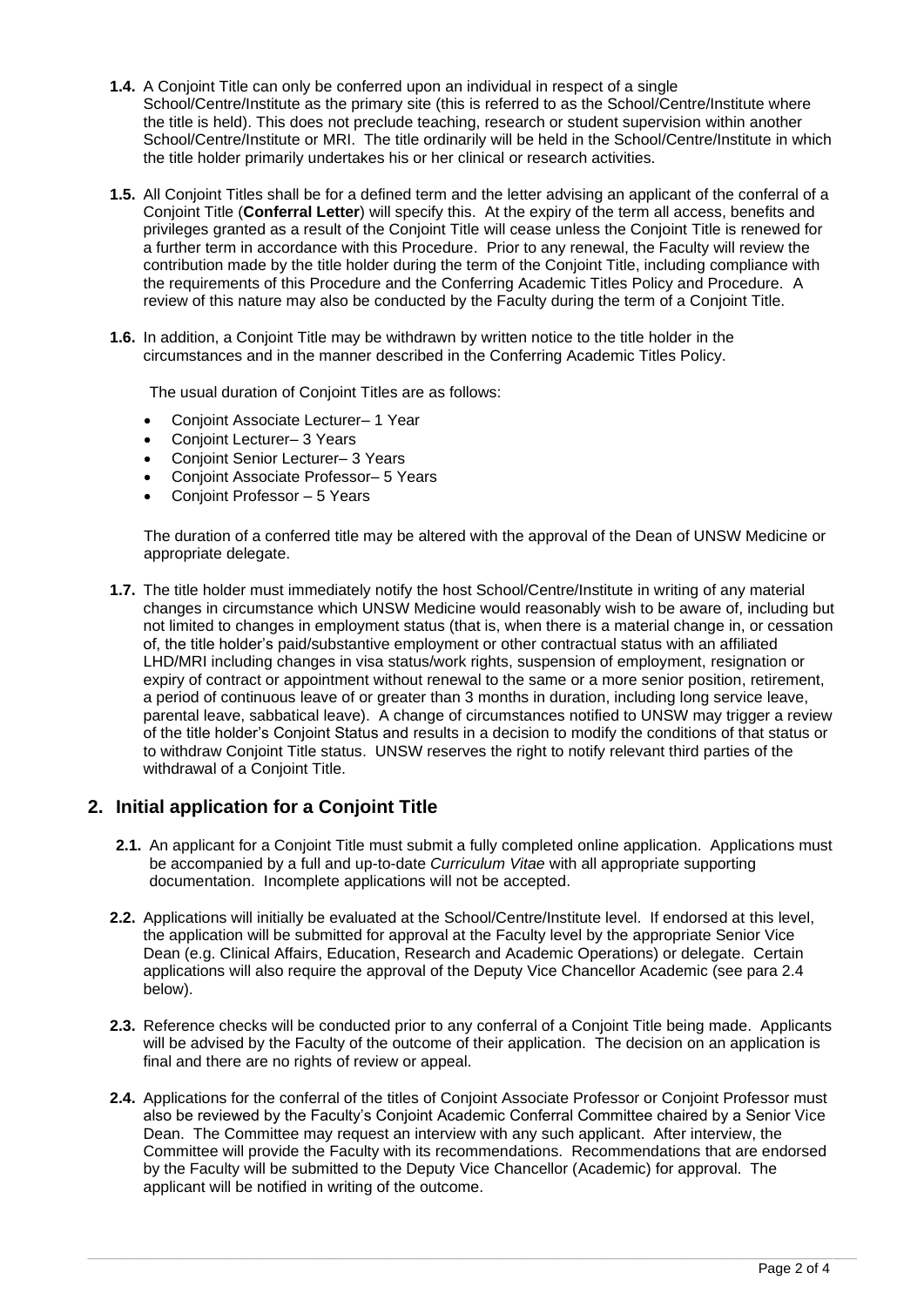- **1.4.** A Conjoint Title can only be conferred upon an individual in respect of a single School/Centre/Institute as the primary site (this is referred to as the School/Centre/Institute where the title is held). This does not preclude teaching, research or student supervision within another School/Centre/Institute or MRI. The title ordinarily will be held in the School/Centre/Institute in which the title holder primarily undertakes his or her clinical or research activities.
- **1.5.** All Conjoint Titles shall be for a defined term and the letter advising an applicant of the conferral of a Conjoint Title (**Conferral Letter**) will specify this. At the expiry of the term all access, benefits and privileges granted as a result of the Conjoint Title will cease unless the Conjoint Title is renewed for a further term in accordance with this Procedure. Prior to any renewal, the Faculty will review the contribution made by the title holder during the term of the Conjoint Title, including compliance with the requirements of this Procedure and the Conferring Academic Titles Policy and Procedure. A review of this nature may also be conducted by the Faculty during the term of a Conjoint Title.
- **1.6.** In addition, a Conjoint Title may be withdrawn by written notice to the title holder in the circumstances and in the manner described in the Conferring Academic Titles Policy.

The usual duration of Conjoint Titles are as follows:

- Conjoint Associate Lecturer– 1 Year
- Conjoint Lecturer– 3 Years
- Conjoint Senior Lecturer– 3 Years
- Conjoint Associate Professor– 5 Years
- Conjoint Professor 5 Years

The duration of a conferred title may be altered with the approval of the Dean of UNSW Medicine or appropriate delegate.

**1.7.** The title holder must immediately notify the host School/Centre/Institute in writing of any material changes in circumstance which UNSW Medicine would reasonably wish to be aware of, including but not limited to changes in employment status (that is, when there is a material change in, or cessation of, the title holder's paid/substantive employment or other contractual status with an affiliated LHD/MRI including changes in visa status/work rights, suspension of employment, resignation or expiry of contract or appointment without renewal to the same or a more senior position, retirement, a period of continuous leave of or greater than 3 months in duration, including long service leave, parental leave, sabbatical leave). A change of circumstances notified to UNSW may trigger a review of the title holder's Conjoint Status and results in a decision to modify the conditions of that status or to withdraw Conjoint Title status. UNSW reserves the right to notify relevant third parties of the withdrawal of a Conjoint Title.

#### **2. Initial application for a Conjoint Title**

- **2.1.** An applicant for a Conjoint Title must submit a fully completed online application. Applications must be accompanied by a full and up-to-date *Curriculum Vitae* with all appropriate supporting documentation. Incomplete applications will not be accepted.
- **2.2.** Applications will initially be evaluated at the School/Centre/Institute level. If endorsed at this level, the application will be submitted for approval at the Faculty level by the appropriate Senior Vice Dean (e.g. Clinical Affairs, Education, Research and Academic Operations) or delegate. Certain applications will also require the approval of the Deputy Vice Chancellor Academic (see para 2.4 below).
- **2.3.** Reference checks will be conducted prior to any conferral of a Conjoint Title being made. Applicants will be advised by the Faculty of the outcome of their application. The decision on an application is final and there are no rights of review or appeal.
- **2.4.** Applications for the conferral of the titles of Conjoint Associate Professor or Conjoint Professor must also be reviewed by the Faculty's Conjoint Academic Conferral Committee chaired by a Senior Vice Dean. The Committee may request an interview with any such applicant. After interview, the Committee will provide the Faculty with its recommendations. Recommendations that are endorsed by the Faculty will be submitted to the Deputy Vice Chancellor (Academic) for approval. The applicant will be notified in writing of the outcome.

 $\_$  , and the set of the set of the set of the set of the set of the set of the set of the set of the set of the set of the set of the set of the set of the set of the set of the set of the set of the set of the set of th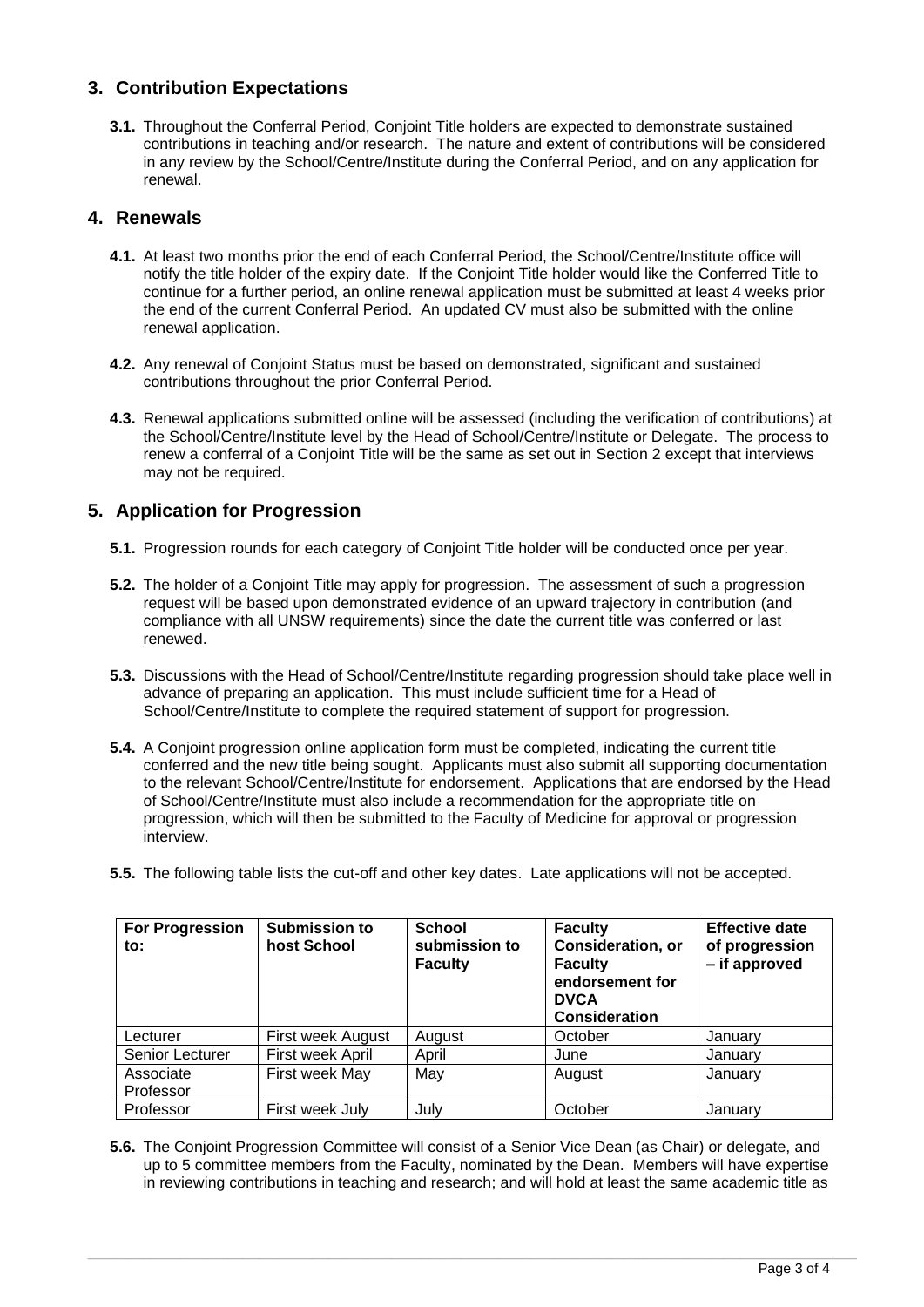# **3. Contribution Expectations**

**3.1.** Throughout the Conferral Period, Conjoint Title holders are expected to demonstrate sustained contributions in teaching and/or research. The nature and extent of contributions will be considered in any review by the School/Centre/Institute during the Conferral Period, and on any application for renewal.

## **4. Renewals**

- **4.1.** At least two months prior the end of each Conferral Period, the School/Centre/Institute office will notify the title holder of the expiry date. If the Conjoint Title holder would like the Conferred Title to continue for a further period, an online renewal application must be submitted at least 4 weeks prior the end of the current Conferral Period. An updated CV must also be submitted with the online renewal application.
- **4.2.** Any renewal of Conjoint Status must be based on demonstrated, significant and sustained contributions throughout the prior Conferral Period.
- **4.3.** Renewal applications submitted online will be assessed (including the verification of contributions) at the School/Centre/Institute level by the Head of School/Centre/Institute or Delegate. The process to renew a conferral of a Conjoint Title will be the same as set out in Section 2 except that interviews may not be required.

# **5. Application for Progression**

- **5.1.** Progression rounds for each category of Conjoint Title holder will be conducted once per year.
- **5.2.** The holder of a Conjoint Title may apply for progression. The assessment of such a progression request will be based upon demonstrated evidence of an upward trajectory in contribution (and compliance with all UNSW requirements) since the date the current title was conferred or last renewed.
- **5.3.** Discussions with the Head of School/Centre/Institute regarding progression should take place well in advance of preparing an application. This must include sufficient time for a Head of School/Centre/Institute to complete the required statement of support for progression.
- **5.4.** A Conjoint progression online application form must be completed, indicating the current title conferred and the new title being sought. Applicants must also submit all supporting documentation to the relevant School/Centre/Institute for endorsement. Applications that are endorsed by the Head of School/Centre/Institute must also include a recommendation for the appropriate title on progression, which will then be submitted to the Faculty of Medicine for approval or progression interview.
- **5.5.** The following table lists the cut-off and other key dates. Late applications will not be accepted.

| <b>For Progression</b><br>to: | <b>Submission to</b><br>host School | <b>School</b><br>submission to<br><b>Faculty</b> | <b>Faculty</b><br>Consideration, or<br><b>Faculty</b><br>endorsement for<br><b>DVCA</b><br><b>Consideration</b> | <b>Effective date</b><br>of progression<br>- if approved |
|-------------------------------|-------------------------------------|--------------------------------------------------|-----------------------------------------------------------------------------------------------------------------|----------------------------------------------------------|
| Lecturer                      | First week August                   | August                                           | October                                                                                                         | January                                                  |
| Senior Lecturer               | First week April                    | April                                            | June                                                                                                            | January                                                  |
| Associate<br>Professor        | First week May                      | May                                              | August                                                                                                          | January                                                  |
| Professor                     | First week July                     | Julv                                             | October                                                                                                         | January                                                  |

**5.6.** The Conjoint Progression Committee will consist of a Senior Vice Dean (as Chair) or delegate, and up to 5 committee members from the Faculty, nominated by the Dean. Members will have expertise in reviewing contributions in teaching and research; and will hold at least the same academic title as

 $\_$  , and the set of the set of the set of the set of the set of the set of the set of the set of the set of the set of the set of the set of the set of the set of the set of the set of the set of the set of the set of th